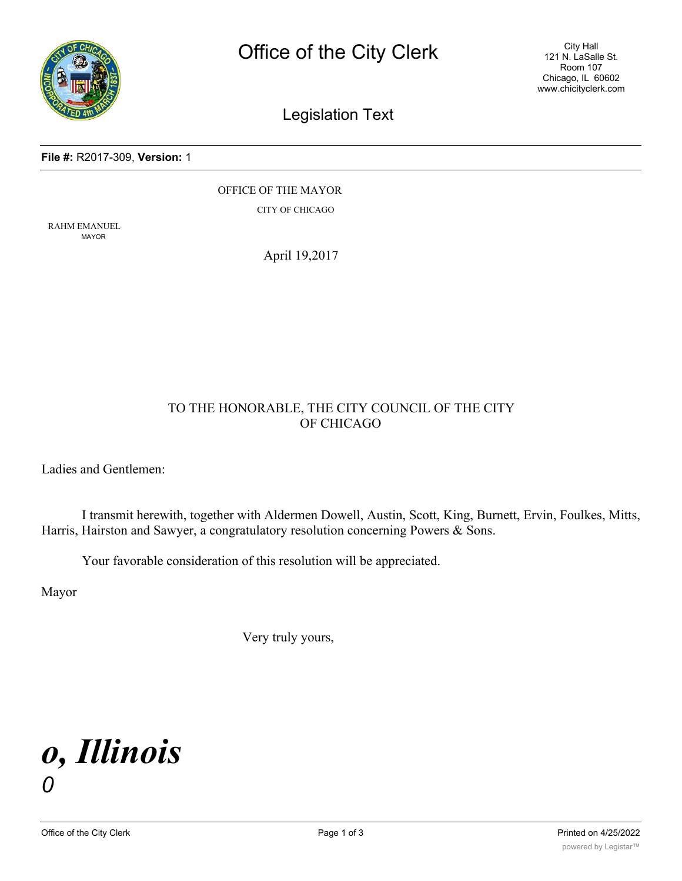

City Hall 121 N. LaSalle St. Room 107 Chicago, IL 60602 www.chicityclerk.com

### Legislation Text

#### **File #:** R2017-309, **Version:** 1

OFFICE OF THE MAYOR

CITY OF CHICAGO

RAHM EMANUEL MAYOR

April 19,2017

#### TO THE HONORABLE, THE CITY COUNCIL OF THE CITY OF CHICAGO

Ladies and Gentlemen:

I transmit herewith, together with Aldermen Dowell, Austin, Scott, King, Burnett, Ervin, Foulkes, Mitts, Harris, Hairston and Sawyer, a congratulatory resolution concerning Powers & Sons.

Your favorable consideration of this resolution will be appreciated.

Mayor

Very truly yours,

# *o, Illinois 0*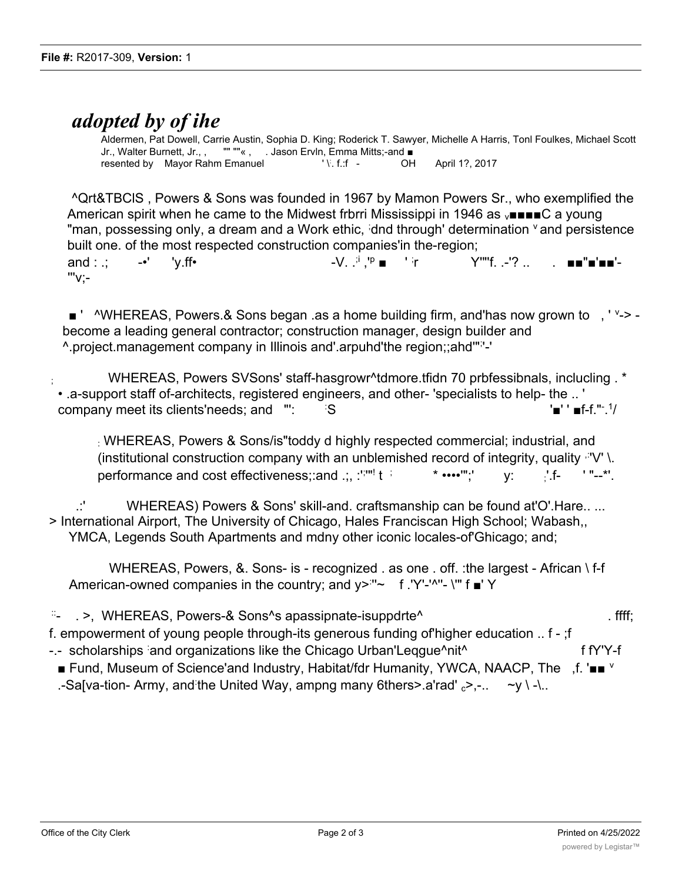## *adopted by of ihe*

Aldermen, Pat Dowell, Carrie Austin, Sophia D. King; Roderick T. Sawyer, Michelle A Harris, Tonl Foulkes, Michael Scott Jr., Walter Burnett, Jr., , "" ""« , . Jason Ervln, Emma Mitts;-and ■ resented by Mayor Rahm Emanuel '\'.f.:f -OH April 1?, 2017

^Qrt&TBClS , Powers & Sons was founded in 1967 by Mamon Powers Sr., who exemplified the American spirit when he came to the Midwest frbrri Mississippi in 1946 as  $\sqrt{\phantom{a}}$  and  $\sqrt{\phantom{a}}$  a young "man, possessing only, a dream and a Work ethic, idnd through' determination <sup>v</sup> and persistence built one. of the most respected construction companies'in the-region; and : .; -•' 'y.ff•  $\qquad \qquad -V$ . .<sup>;i</sup> ,'<sup>p</sup> ■ ' ' in Y""f .-'? .. '''v;-

■ ' ^WHEREAS, Powers.& Sons began .as a home building firm, and has now grown to , ' '-> become a leading general contractor; construction manager, design builder and ^.project.management company in Illinois and'.arpuhd'the region;;ahd'"; '-'

; WHEREAS, Powers SVSons' staff-hasgrowr^tdmore.tfidn 70 prbfessibnals, inclucling . \* • .a-support staff of-architects, registered engineers, and other- 'specialists to help- the .. ' company meet its clients'needs; and ": S S '■' ' ■f-f."<sup>-\_1</sup>/

: WHEREAS, Powers & Sons/is"toddy d highly respected commercial; industrial, and (institutional construction company with an unblemished record of integrity, quality  $\mathbb{P}V'$  \. performance and cost effectiveness;:and .;, :'<sup>;</sup>'"!  $\star$  ••••" $\cdot$  y:  $\cdot$  'f- '"--\*'.

.:' WHEREAS) Powers & Sons' skill-and. craftsmanship can be found at'O'.Hare.. ... > International Airport, The University of Chicago, Hales Franciscan High School; Wabash,, YMCA, Legends South Apartments and mdny other iconic locales-of'Ghicago; and;

WHEREAS, Powers, &. Sons- is - recognized . as one . off. :the largest - African \ f-f American-owned companies in the country; and y><sup>:</sup>"~ f.'Y'-'^"- \'" f ■' Y

::- . >, WHEREAS, Powers-& Sons^s apassipnate-isuppdrte^ . ffff; f. empowerment of young people through-its generous funding of'higher education .. f - ;f -.- scholarships and organizations like the Chicago Urban'Leqgue^nit^ f fY'Y-f ■ Fund, Museum of Science'and Industry, Habitat/fdr Humanity, YWCA, NAACP, The ,f. '■■ <sup>v</sup> .-Sa[va-tion- Army, and the United Way, ampng many 6thers>.a'rad' <sub>c</sub>>,-.. ~y \ -\..

WHEREAS, Powers & Sons has provided inspiration; mehtorships, scholarships, and